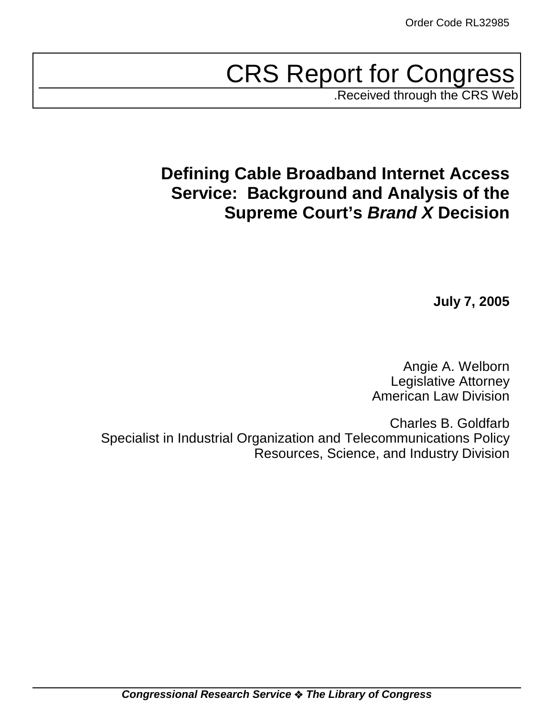# CRS Report for Congress

.Received through the CRS Web

# **Defining Cable Broadband Internet Access Service: Background and Analysis of the Supreme Court's** *Brand X* **Decision**

**July 7, 2005**

Angie A. Welborn Legislative Attorney American Law Division

Charles B. Goldfarb Specialist in Industrial Organization and Telecommunications Policy Resources, Science, and Industry Division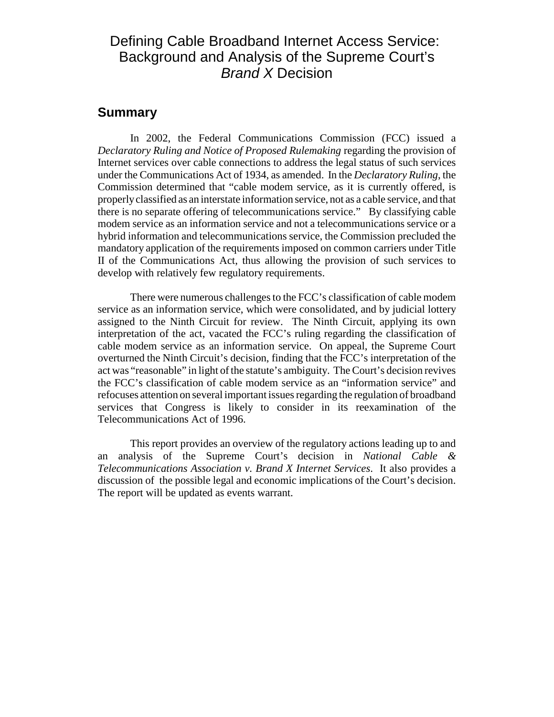# Defining Cable Broadband Internet Access Service: Background and Analysis of the Supreme Court's *Brand X* Decision

#### **Summary**

In 2002, the Federal Communications Commission (FCC) issued a *Declaratory Ruling and Notice of Proposed Rulemaking* regarding the provision of Internet services over cable connections to address the legal status of such services under the Communications Act of 1934, as amended. In the *Declaratory Ruling*, the Commission determined that "cable modem service, as it is currently offered, is properly classified as an interstate information service, not as a cable service, and that there is no separate offering of telecommunications service." By classifying cable modem service as an information service and not a telecommunications service or a hybrid information and telecommunications service, the Commission precluded the mandatory application of the requirements imposed on common carriers under Title II of the Communications Act, thus allowing the provision of such services to develop with relatively few regulatory requirements.

There were numerous challenges to the FCC's classification of cable modem service as an information service, which were consolidated, and by judicial lottery assigned to the Ninth Circuit for review. The Ninth Circuit, applying its own interpretation of the act, vacated the FCC's ruling regarding the classification of cable modem service as an information service. On appeal, the Supreme Court overturned the Ninth Circuit's decision, finding that the FCC's interpretation of the act was "reasonable" in light of the statute's ambiguity. The Court's decision revives the FCC's classification of cable modem service as an "information service" and refocuses attention on several important issues regarding the regulation of broadband services that Congress is likely to consider in its reexamination of the Telecommunications Act of 1996.

This report provides an overview of the regulatory actions leading up to and an analysis of the Supreme Court's decision in *National Cable & Telecommunications Association v. Brand X Internet Services*. It also provides a discussion of the possible legal and economic implications of the Court's decision. The report will be updated as events warrant.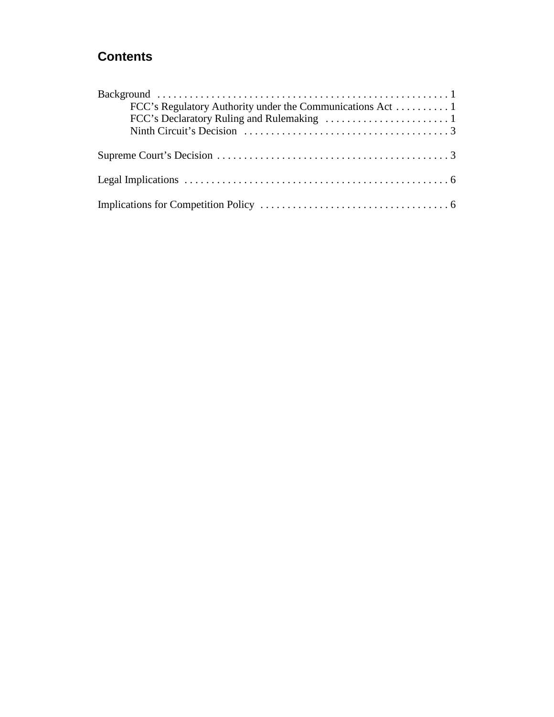# **Contents**

| FCC's Regulatory Authority under the Communications Act 1 |
|-----------------------------------------------------------|
|                                                           |
|                                                           |
|                                                           |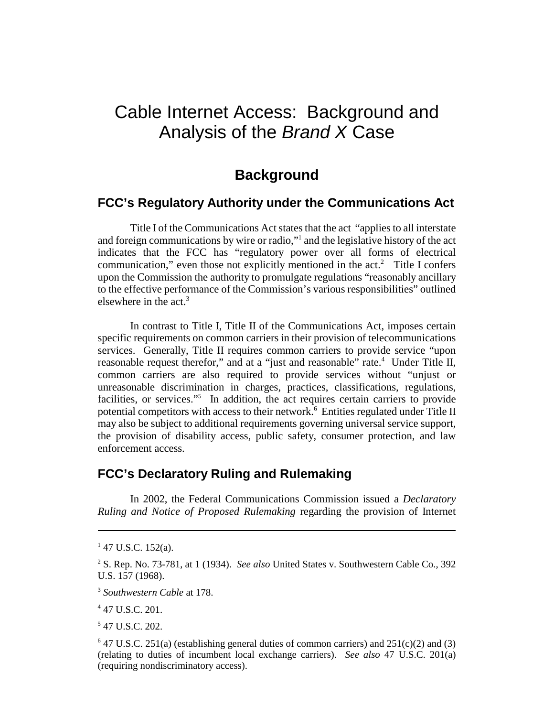# Cable Internet Access: Background and Analysis of the *Brand X* Case

## **Background**

#### **FCC's Regulatory Authority under the Communications Act**

Title I of the Communications Act states that the act "applies to all interstate and foreign communications by wire or radio,"1 and the legislative history of the act indicates that the FCC has "regulatory power over all forms of electrical communication," even those not explicitly mentioned in the  $act<sup>2</sup>$  Title I confers upon the Commission the authority to promulgate regulations "reasonably ancillary to the effective performance of the Commission's various responsibilities" outlined elsewhere in the act. $3$ 

In contrast to Title I, Title II of the Communications Act, imposes certain specific requirements on common carriers in their provision of telecommunications services. Generally, Title II requires common carriers to provide service "upon reasonable request therefor," and at a "just and reasonable" rate.<sup>4</sup> Under Title II, common carriers are also required to provide services without "unjust or unreasonable discrimination in charges, practices, classifications, regulations, facilities, or services."<sup>5</sup> In addition, the act requires certain carriers to provide potential competitors with access to their network.<sup>6</sup> Entities regulated under Title II may also be subject to additional requirements governing universal service support, the provision of disability access, public safety, consumer protection, and law enforcement access.

#### **FCC's Declaratory Ruling and Rulemaking**

In 2002, the Federal Communications Commission issued a *Declaratory Ruling and Notice of Proposed Rulemaking* regarding the provision of Internet

 $147$  U.S.C. 152(a).

<sup>2</sup> S. Rep. No. 73-781, at 1 (1934). *See also* United States v. Southwestern Cable Co., 392 U.S. 157 (1968).

<sup>3</sup> *Southwestern Cable* at 178.

<sup>4</sup> 47 U.S.C. 201.

<sup>5</sup> 47 U.S.C. 202.

 $6$  47 U.S.C. 251(a) (establishing general duties of common carriers) and 251(c)(2) and (3) (relating to duties of incumbent local exchange carriers). *See also* 47 U.S.C. 201(a) (requiring nondiscriminatory access).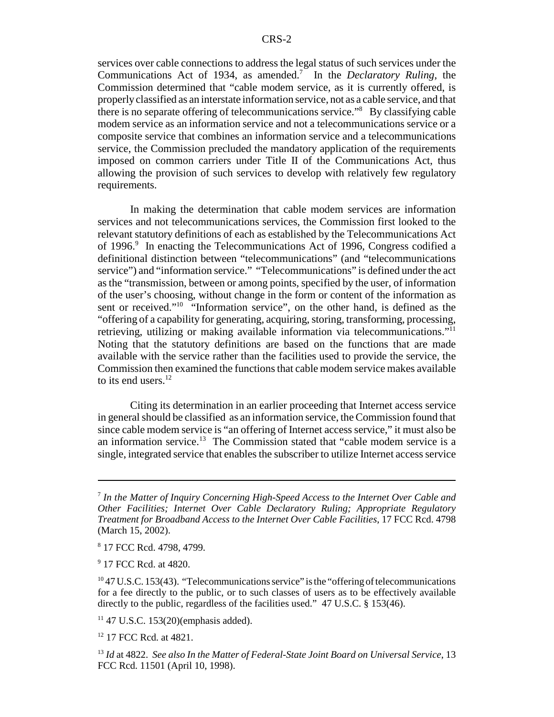services over cable connections to address the legal status of such services under the Communications Act of 1934, as amended.<sup>7</sup> In the *Declaratory Ruling*, the Commission determined that "cable modem service, as it is currently offered, is properly classified as an interstate information service, not as a cable service, and that there is no separate offering of telecommunications service."8 By classifying cable modem service as an information service and not a telecommunications service or a composite service that combines an information service and a telecommunications service, the Commission precluded the mandatory application of the requirements imposed on common carriers under Title II of the Communications Act, thus allowing the provision of such services to develop with relatively few regulatory requirements.

In making the determination that cable modem services are information services and not telecommunications services, the Commission first looked to the relevant statutory definitions of each as established by the Telecommunications Act of 1996.<sup>9</sup> In enacting the Telecommunications Act of 1996, Congress codified a definitional distinction between "telecommunications" (and "telecommunications service") and "information service." "Telecommunications" is defined under the act as the "transmission, between or among points, specified by the user, of information of the user's choosing, without change in the form or content of the information as sent or received."10 "Information service", on the other hand, is defined as the "offering of a capability for generating, acquiring, storing, transforming, processing, retrieving, utilizing or making available information via telecommunications."11 Noting that the statutory definitions are based on the functions that are made available with the service rather than the facilities used to provide the service, the Commission then examined the functions that cable modem service makes available to its end users. $12$ 

Citing its determination in an earlier proceeding that Internet access service in general should be classified as an information service, the Commission found that since cable modem service is "an offering of Internet access service," it must also be an information service.<sup>13</sup> The Commission stated that "cable modem service is a single, integrated service that enables the subscriber to utilize Internet access service

9 17 FCC Rcd. at 4820.

<sup>12</sup> 17 FCC Rcd. at 4821.

<sup>7</sup> *In the Matter of Inquiry Concerning High-Speed Access to the Internet Over Cable and Other Facilities; Internet Over Cable Declaratory Ruling; Appropriate Regulatory Treatment for Broadband Access to the Internet Over Cable Facilities*, 17 FCC Rcd. 4798 (March 15, 2002).

<sup>8</sup> 17 FCC Rcd. 4798, 4799.

 $10\,47$  U.S.C. 153(43). "Telecommunications service" is the "offering of telecommunications for a fee directly to the public, or to such classes of users as to be effectively available directly to the public, regardless of the facilities used." 47 U.S.C. § 153(46).

 $11$  47 U.S.C. 153(20)(emphasis added).

<sup>13</sup> *Id* at 4822. *See also In the Matter of Federal-State Joint Board on Universal Service*, 13 FCC Rcd. 11501 (April 10, 1998).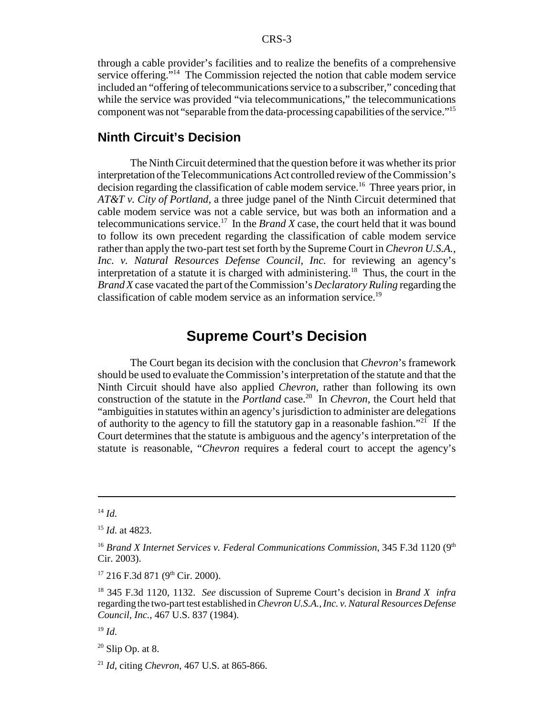through a cable provider's facilities and to realize the benefits of a comprehensive service offering."<sup>14</sup> The Commission rejected the notion that cable modem service included an "offering of telecommunications service to a subscriber," conceding that while the service was provided "via telecommunications," the telecommunications component was not "separable from the data-processing capabilities of the service."<sup>15</sup>

#### **Ninth Circuit's Decision**

The Ninth Circuit determined that the question before it was whether its prior interpretation of the Telecommunications Act controlled review of the Commission's decision regarding the classification of cable modem service.<sup>16</sup> Three years prior, in *AT&T v. City of Portland*, a three judge panel of the Ninth Circuit determined that cable modem service was not a cable service, but was both an information and a telecommunications service.<sup>17</sup> In the *Brand X* case, the court held that it was bound to follow its own precedent regarding the classification of cable modem service rather than apply the two-part test set forth by the Supreme Court in *Chevron U.S.A., Inc. v. Natural Resources Defense Council, Inc.* for reviewing an agency's interpretation of a statute it is charged with administering.18 Thus, the court in the *Brand X* case vacated the part of the Commission's *Declaratory Ruling* regarding the classification of cable modem service as an information service.19

#### **Supreme Court's Decision**

The Court began its decision with the conclusion that *Chevron*'s framework should be used to evaluate the Commission's interpretation of the statute and that the Ninth Circuit should have also applied *Chevron*, rather than following its own construction of the statute in the *Portland* case.20 In *Chevron*, the Court held that "ambiguities in statutes within an agency's jurisdiction to administer are delegations of authority to the agency to fill the statutory gap in a reasonable fashion."<sup>21</sup> If the Court determines that the statute is ambiguous and the agency's interpretation of the statute is reasonable, "*Chevron* requires a federal court to accept the agency's

 $^{14}$  *Id.* 

<sup>15</sup> *Id*. at 4823.

<sup>&</sup>lt;sup>16</sup> Brand X Internet Services v. Federal Communications Commission, 345 F.3d 1120 (9<sup>th</sup> Cir. 2003).

 $17$  216 F.3d 871 (9<sup>th</sup> Cir. 2000).

<sup>18 345</sup> F.3d 1120, 1132. *See* discussion of Supreme Court's decision in *Brand X infra* regarding the two-part test established in *Chevron U.S.A., Inc. v. Natural Resources Defense Council, Inc.*, 467 U.S. 837 (1984).

 $^{19}$  *Id.* 

 $20$  Slip Op. at 8.

<sup>21</sup> *Id*, citing *Chevron*, 467 U.S. at 865-866.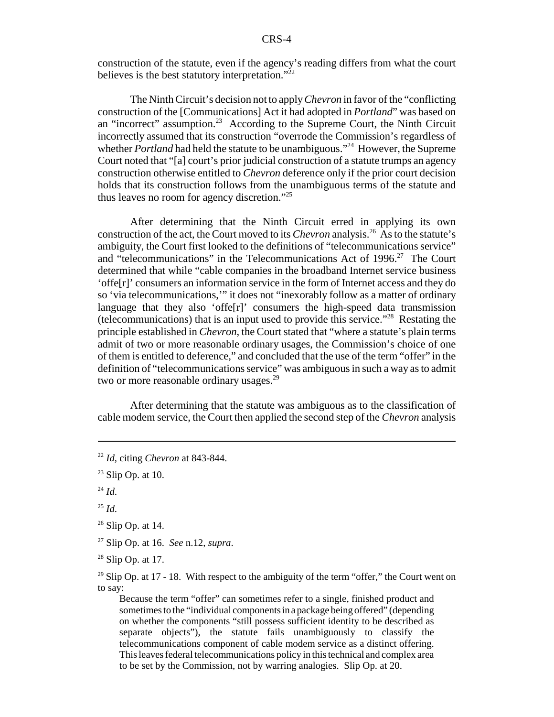construction of the statute, even if the agency's reading differs from what the court believes is the best statutory interpretation." $^{22}$ 

The Ninth Circuit's decision not to apply *Chevron* in favor of the "conflicting construction of the [Communications] Act it had adopted in *Portland*" was based on an "incorrect" assumption.23 According to the Supreme Court, the Ninth Circuit incorrectly assumed that its construction "overrode the Commission's regardless of whether *Portland* had held the statute to be unambiguous."<sup>24</sup> However, the Supreme Court noted that "[a] court's prior judicial construction of a statute trumps an agency construction otherwise entitled to *Chevron* deference only if the prior court decision holds that its construction follows from the unambiguous terms of the statute and thus leaves no room for agency discretion."25

After determining that the Ninth Circuit erred in applying its own construction of the act, the Court moved to its *Chevron* analysis.<sup>26</sup> As to the statute's ambiguity, the Court first looked to the definitions of "telecommunications service" and "telecommunications" in the Telecommunications Act of 1996.<sup>27</sup> The Court determined that while "cable companies in the broadband Internet service business 'offe[r]' consumers an information service in the form of Internet access and they do so 'via telecommunications,'" it does not "inexorably follow as a matter of ordinary language that they also 'offe[r]' consumers the high-speed data transmission (telecommunications) that is an input used to provide this service."28 Restating the principle established in *Chevron*, the Court stated that "where a statute's plain terms admit of two or more reasonable ordinary usages, the Commission's choice of one of them is entitled to deference," and concluded that the use of the term "offer" in the definition of "telecommunications service" was ambiguous in such a way as to admit two or more reasonable ordinary usages.<sup>29</sup>

After determining that the statute was ambiguous as to the classification of cable modem service, the Court then applied the second step of the *Chevron* analysis

Because the term "offer" can sometimes refer to a single, finished product and sometimes to the "individual components in a package being offered" (depending on whether the components "still possess sufficient identity to be described as separate objects"), the statute fails unambiguously to classify the telecommunications component of cable modem service as a distinct offering. This leaves federal telecommunications policy in this technical and complex area to be set by the Commission, not by warring analogies. Slip Op. at 20.

<sup>22</sup> *Id*, citing *Chevron* at 843-844.

 $23$  Slip Op. at 10.

<sup>24</sup> *Id*.

 $^{25}$  *Id.* 

 $26$  Slip Op. at 14.

<sup>27</sup> Slip Op. at 16. *See* n.12, *supra*.

 $28$  Slip Op. at 17.

<sup>&</sup>lt;sup>29</sup> Slip Op. at 17 - 18. With respect to the ambiguity of the term "offer," the Court went on to say: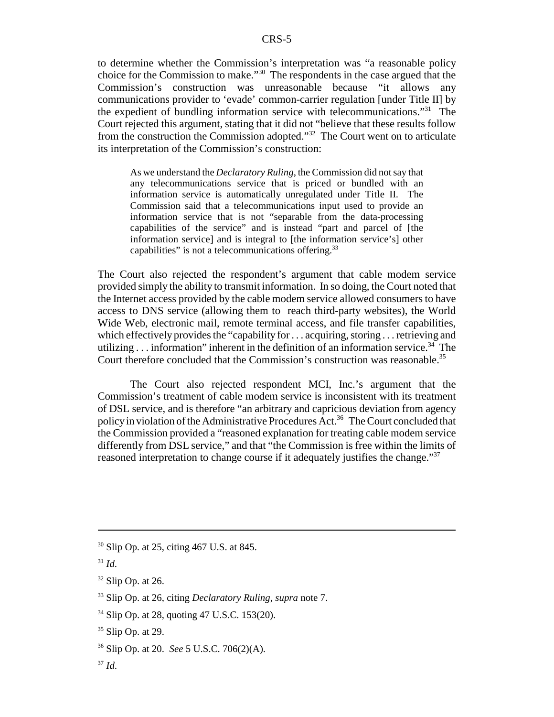to determine whether the Commission's interpretation was "a reasonable policy choice for the Commission to make."30 The respondents in the case argued that the Commission's construction was unreasonable because "it allows any communications provider to 'evade' common-carrier regulation [under Title II] by the expedient of bundling information service with telecommunications."31 The Court rejected this argument, stating that it did not "believe that these results follow from the construction the Commission adopted."32 The Court went on to articulate its interpretation of the Commission's construction:

As we understand the *Declaratory Ruling*, the Commission did not say that any telecommunications service that is priced or bundled with an information service is automatically unregulated under Title II. The Commission said that a telecommunications input used to provide an information service that is not "separable from the data-processing capabilities of the service" and is instead "part and parcel of [the information service] and is integral to [the information service's] other capabilities" is not a telecommunications offering.<sup>33</sup>

The Court also rejected the respondent's argument that cable modem service provided simply the ability to transmit information. In so doing, the Court noted that the Internet access provided by the cable modem service allowed consumers to have access to DNS service (allowing them to reach third-party websites), the World Wide Web, electronic mail, remote terminal access, and file transfer capabilities, which effectively provides the "capability for . . . acquiring, storing . . . retrieving and utilizing  $\ldots$  information" inherent in the definition of an information service.<sup>34</sup> The Court therefore concluded that the Commission's construction was reasonable.<sup>35</sup>

The Court also rejected respondent MCI, Inc.'s argument that the Commission's treatment of cable modem service is inconsistent with its treatment of DSL service, and is therefore "an arbitrary and capricious deviation from agency policy in violation of the Administrative Procedures Act.<sup>36</sup> The Court concluded that the Commission provided a "reasoned explanation for treating cable modem service differently from DSL service," and that "the Commission is free within the limits of reasoned interpretation to change course if it adequately justifies the change."<sup>37</sup>

<sup>30</sup> Slip Op. at 25, citing 467 U.S. at 845.

<sup>31</sup> *Id*.

 $32$  Slip Op. at 26.

<sup>33</sup> Slip Op. at 26, citing *Declaratory Ruling*, *supra* note 7.

<sup>34</sup> Slip Op. at 28, quoting 47 U.S.C. 153(20).

 $35$  Slip Op. at 29.

<sup>36</sup> Slip Op. at 20. *See* 5 U.S.C. 706(2)(A).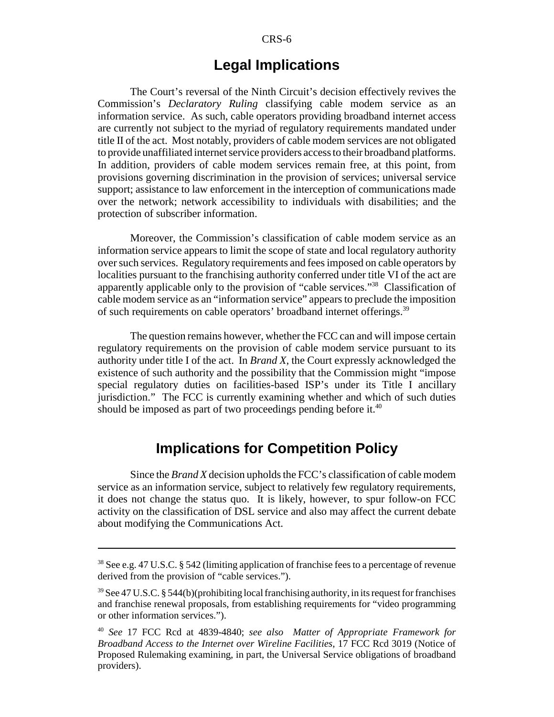#### CRS-6

## **Legal Implications**

The Court's reversal of the Ninth Circuit's decision effectively revives the Commission's *Declaratory Ruling* classifying cable modem service as an information service. As such, cable operators providing broadband internet access are currently not subject to the myriad of regulatory requirements mandated under title II of the act. Most notably, providers of cable modem services are not obligated to provide unaffiliated internet service providers access to their broadband platforms. In addition, providers of cable modem services remain free, at this point, from provisions governing discrimination in the provision of services; universal service support; assistance to law enforcement in the interception of communications made over the network; network accessibility to individuals with disabilities; and the protection of subscriber information.

Moreover, the Commission's classification of cable modem service as an information service appears to limit the scope of state and local regulatory authority over such services. Regulatory requirements and fees imposed on cable operators by localities pursuant to the franchising authority conferred under title VI of the act are apparently applicable only to the provision of "cable services."38 Classification of cable modem service as an "information service" appears to preclude the imposition of such requirements on cable operators' broadband internet offerings.39

The question remains however, whether the FCC can and will impose certain regulatory requirements on the provision of cable modem service pursuant to its authority under title I of the act. In *Brand X*, the Court expressly acknowledged the existence of such authority and the possibility that the Commission might "impose special regulatory duties on facilities-based ISP's under its Title I ancillary jurisdiction." The FCC is currently examining whether and which of such duties should be imposed as part of two proceedings pending before it.<sup>40</sup>

### **Implications for Competition Policy**

Since the *Brand X* decision upholds the FCC's classification of cable modem service as an information service, subject to relatively few regulatory requirements, it does not change the status quo. It is likely, however, to spur follow-on FCC activity on the classification of DSL service and also may affect the current debate about modifying the Communications Act.

<sup>&</sup>lt;sup>38</sup> See e.g. 47 U.S.C. § 542 (limiting application of franchise fees to a percentage of revenue derived from the provision of "cable services.").

 $39$  See 47 U.S.C. § 544(b)(prohibiting local franchising authority, in its request for franchises and franchise renewal proposals, from establishing requirements for "video programming or other information services.").

<sup>40</sup> *See* 17 FCC Rcd at 4839-4840; *see also Matter of Appropriate Framework for Broadband Access to the Internet over Wireline Facilities*, 17 FCC Rcd 3019 (Notice of Proposed Rulemaking examining, in part, the Universal Service obligations of broadband providers).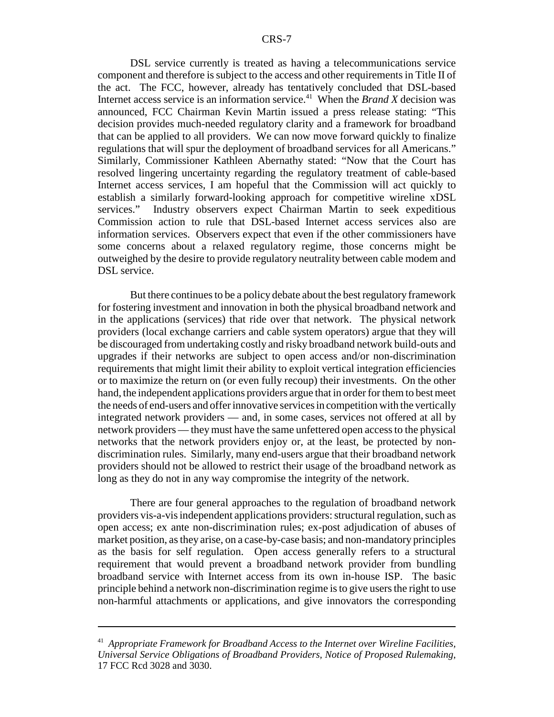DSL service currently is treated as having a telecommunications service component and therefore is subject to the access and other requirements in Title II of the act. The FCC, however, already has tentatively concluded that DSL-based Internet access service is an information service.<sup>41</sup> When the *Brand X* decision was announced, FCC Chairman Kevin Martin issued a press release stating: "This decision provides much-needed regulatory clarity and a framework for broadband that can be applied to all providers. We can now move forward quickly to finalize regulations that will spur the deployment of broadband services for all Americans." Similarly, Commissioner Kathleen Abernathy stated: "Now that the Court has resolved lingering uncertainty regarding the regulatory treatment of cable-based Internet access services, I am hopeful that the Commission will act quickly to establish a similarly forward-looking approach for competitive wireline xDSL services." Industry observers expect Chairman Martin to seek expeditious Commission action to rule that DSL-based Internet access services also are information services. Observers expect that even if the other commissioners have some concerns about a relaxed regulatory regime, those concerns might be outweighed by the desire to provide regulatory neutrality between cable modem and DSL service.

But there continues to be a policy debate about the best regulatory framework for fostering investment and innovation in both the physical broadband network and in the applications (services) that ride over that network. The physical network providers (local exchange carriers and cable system operators) argue that they will be discouraged from undertaking costly and risky broadband network build-outs and upgrades if their networks are subject to open access and/or non-discrimination requirements that might limit their ability to exploit vertical integration efficiencies or to maximize the return on (or even fully recoup) their investments. On the other hand, the independent applications providers argue that in order for them to best meet the needs of end-users and offer innovative services in competition with the vertically integrated network providers — and, in some cases, services not offered at all by network providers — they must have the same unfettered open access to the physical networks that the network providers enjoy or, at the least, be protected by nondiscrimination rules. Similarly, many end-users argue that their broadband network providers should not be allowed to restrict their usage of the broadband network as long as they do not in any way compromise the integrity of the network.

There are four general approaches to the regulation of broadband network providers vis-a-vis independent applications providers: structural regulation, such as open access; ex ante non-discrimination rules; ex-post adjudication of abuses of market position, as they arise, on a case-by-case basis; and non-mandatory principles as the basis for self regulation. Open access generally refers to a structural requirement that would prevent a broadband network provider from bundling broadband service with Internet access from its own in-house ISP. The basic principle behind a network non-discrimination regime is to give users the right to use non-harmful attachments or applications, and give innovators the corresponding

<sup>41</sup> *Appropriate Framework for Broadband Access to the Internet over Wireline Facilities, Universal Service Obligations of Broadband Providers, Notice of Proposed Rulemaking*, 17 FCC Rcd 3028 and 3030.